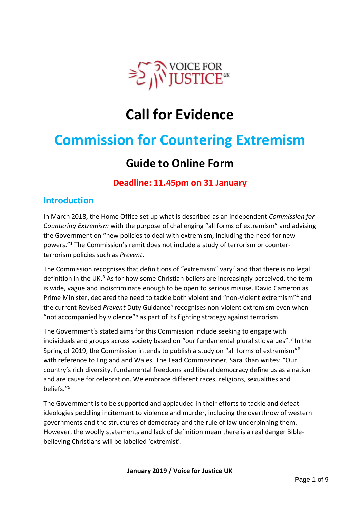

# **Call for Evidence**

# **Commission for Countering Extremism**

## **Guide to Online Form**

## **Deadline: 11.45pm on 31 January**

## **Introduction**

In March 2018, the Home Office set up what is described as an independent *Commission for Countering Extremism* with the purpose of challenging "all forms of extremism" and advising the Government on "new policies to deal with extremism, including the need for new powers."<sup>1</sup> The Commission's remit does not include a study of terrorism or counterterrorism policies such as *Prevent*.

The Commission recognises that definitions of "extremism" vary<sup>2</sup> and that there is no legal definition in the UK.<sup>3</sup> As for how some Christian beliefs are increasingly perceived, the term is wide, vague and indiscriminate enough to be open to serious misuse. David Cameron as Prime Minister, declared the need to tackle both violent and "non-violent extremism"<sup>4</sup> and the current Revised Prevent Duty Guidance<sup>5</sup> recognises non-violent extremism even when "not accompanied by violence"<sup>6</sup> as part of its fighting strategy against terrorism.

The Government's stated aims for this Commission include seeking to engage with individuals and groups across society based on "our fundamental pluralistic values".<sup>7</sup> In the Spring of 2019, the Commission intends to publish a study on "all forms of extremism"<sup>8</sup> with reference to England and Wales. The Lead Commissioner, Sara Khan writes: "Our country's rich diversity, fundamental freedoms and liberal democracy define us as a nation and are cause for celebration. We embrace different races, religions, sexualities and beliefs."<sup>9</sup>

The Government is to be supported and applauded in their efforts to tackle and defeat ideologies peddling incitement to violence and murder, including the overthrow of western governments and the structures of democracy and the rule of law underpinning them. However, the woolly statements and lack of definition mean there is a real danger Biblebelieving Christians will be labelled 'extremist'.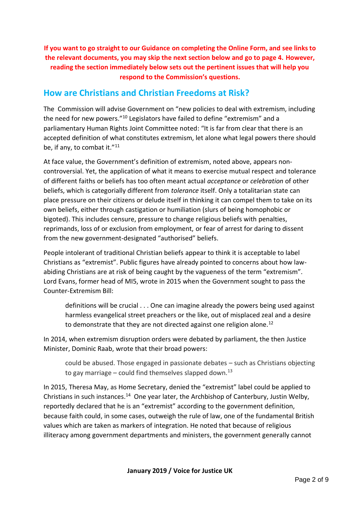**If you want to go straight to our Guidance on completing the Online Form, and see links to the relevant documents, you may skip the next section below and go to page 4. However, reading the section immediately below sets out the pertinent issues that will help you respond to the Commission's questions.**

## **How are Christians and Christian Freedoms at Risk?**

The Commission will advise Government on "new policies to deal with extremism, including the need for new powers."<sup>10</sup> Legislators have failed to define "extremism" and a parliamentary Human Rights Joint Committee noted: "It is far from clear that there is an accepted definition of what constitutes extremism, let alone what legal powers there should be, if any, to combat it."<sup>11</sup>

At face value, the Government's definition of extremism, noted above, appears noncontroversial. Yet, the application of what it means to exercise mutual respect and tolerance of different faiths or beliefs has too often meant actual *acceptance* or *celebration* of other beliefs, which is categorially different from *tolerance* itself. Only a totalitarian state can place pressure on their citizens or delude itself in thinking it can compel them to take on its own beliefs, either through castigation or humiliation (slurs of being homophobic or bigoted). This includes censure, pressure to change religious beliefs with penalties, reprimands, loss of or exclusion from employment, or fear of arrest for daring to dissent from the new government-designated "authorised" beliefs.

People intolerant of traditional Christian beliefs appear to think it is acceptable to label Christians as "extremist". Public figures have already pointed to concerns about how lawabiding Christians are at risk of being caught by the vagueness of the term "extremism". Lord Evans, former head of MI5, wrote in 2015 when the Government sought to pass the Counter-Extremism Bill:

definitions will be crucial . . . One can imagine already the powers being used against harmless evangelical street preachers or the like, out of misplaced zeal and a desire to demonstrate that they are not directed against one religion alone.<sup>12</sup>

In 2014, when extremism disruption orders were debated by parliament, the then Justice Minister, Dominic Raab, wrote that their broad powers:

could be abused. Those engaged in passionate debates – such as Christians objecting to gay marriage – could find themselves slapped down.<sup>13</sup>

In 2015, Theresa May, as Home Secretary, denied the "extremist" label could be applied to Christians in such instances.<sup>14</sup> One year later, the Archbishop of Canterbury, Justin Welby, reportedly declared that he is an "extremist" according to the government definition, because faith could, in some cases, outweigh the rule of law, one of the fundamental British values which are taken as markers of integration. He noted that because of religious illiteracy among government departments and ministers, the government generally cannot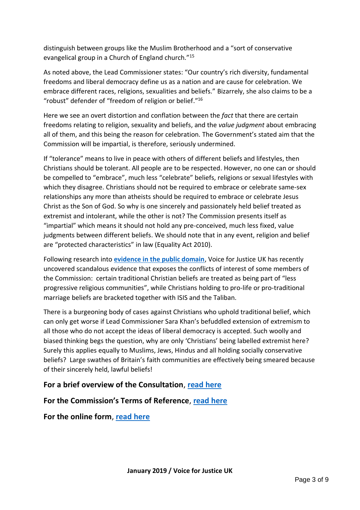distinguish between groups like the Muslim Brotherhood and a "sort of conservative evangelical group in a Church of England church."<sup>15</sup>

As noted above, the Lead Commissioner states: "Our country's rich diversity, fundamental freedoms and liberal democracy define us as a nation and are cause for celebration. We embrace different races, religions, sexualities and beliefs." Bizarrely, she also claims to be a "robust" defender of "freedom of religion or belief."<sup>16</sup>

Here we see an overt distortion and conflation between the *fact* that there are certain freedoms relating to religion, sexuality and beliefs, and the *value judgment* about embracing all of them, and this being the reason for celebration. The Government's stated aim that the Commission will be impartial, is therefore, seriously undermined.

If "tolerance" means to live in peace with others of different beliefs and lifestyles, then Christians should be tolerant. All people are to be respected. However, no one can or should be compelled to "embrace", much less "celebrate" beliefs, religions or sexual lifestyles with which they disagree. Christians should not be required to embrace or celebrate same-sex relationships any more than atheists should be required to embrace or celebrate Jesus Christ as the Son of God. So why is one sincerely and passionately held belief treated as extremist and intolerant, while the other is not? The Commission presents itself as "impartial" which means it should not hold any pre-conceived, much less fixed, value judgments between different beliefs. We should note that in any event, religion and belief are "protected characteristics" in law (Equality Act 2010).

Following research into **[evidence in the public domain](https://vfjuk.org.uk/news-updates/clear-evidence-of-anti-christian-bias-in-counter-extremism-commission/)**, Voice for Justice UK has recently uncovered scandalous evidence that exposes the conflicts of interest of some members of the Commission: certain traditional Christian beliefs are treated as being part of "less progressive religious communities", while Christians holding to pro-life or pro-traditional marriage beliefs are bracketed together with ISIS and the Taliban.

There is a burgeoning body of cases against Christians who uphold traditional belief, which can only get worse if Lead Commissioner Sara Khan's befuddled extension of extremism to all those who do not accept the ideas of liberal democracy is accepted. Such woolly and biased thinking begs the question, why are only 'Christians' being labelled extremist here? Surely this applies equally to Muslims, Jews, Hindus and all holding socially conservative beliefs? Large swathes of Britain's faith communities are effectively being smeared because of their sincerely held, lawful beliefs!

#### **For a brief overview of the Consultation**, **[read here](https://www.gov.uk/government/consultations/extremism-in-england-and-wales-call-for-evidence)**

#### **For the Commission's Terms of Reference**, **[read here](https://assets.publishing.service.gov.uk/government/uploads/system/uploads/attachment_data/file/742176/Terms_of_Reference_into_Extremism_Study.pdf)**

**For the online form**, **[read here](https://www.homeofficesurveys.homeoffice.gov.uk/s/X0H6P/)**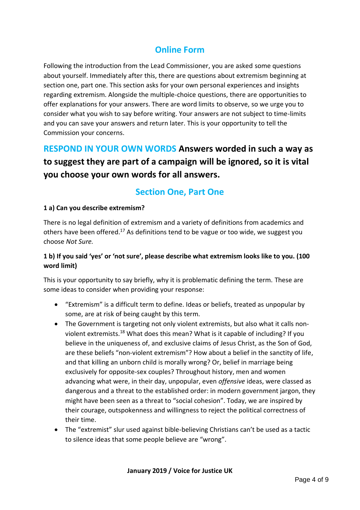## **Online Form**

Following the introduction from the Lead Commissioner, you are asked some questions about yourself. Immediately after this, there are questions about extremism beginning at section one, part one. This section asks for your own personal experiences and insights regarding extremism. Alongside the multiple-choice questions, there are opportunities to offer explanations for your answers. There are word limits to observe, so we urge you to consider what you wish to say before writing. Your answers are not subject to time-limits and you can save your answers and return later. This is your opportunity to tell the Commission your concerns.

**RESPOND IN YOUR OWN WORDS Answers worded in such a way as to suggest they are part of a campaign will be ignored, so it is vital you choose your own words for all answers.**

## **Section One, Part One**

#### **1 a) Can you describe extremism?**

There is no legal definition of extremism and a variety of definitions from academics and others have been offered.<sup>17</sup> As definitions tend to be vague or too wide, we suggest you choose *Not Sure.*

#### **1 b) If you said 'yes' or 'not sure', please describe what extremism looks like to you. (100 word limit)**

This is your opportunity to say briefly, why it is problematic defining the term. These are some ideas to consider when providing your response:

- "Extremism" is a difficult term to define. Ideas or beliefs, treated as unpopular by some, are at risk of being caught by this term.
- The Government is targeting not only violent extremists, but also what it calls nonviolent extremists.<sup>18</sup> What does this mean? What is it capable of including? If you believe in the uniqueness of, and exclusive claims of Jesus Christ, as the Son of God, are these beliefs "non-violent extremism"? How about a belief in the sanctity of life, and that killing an unborn child is morally wrong? Or, belief in marriage being exclusively for opposite-sex couples? Throughout history, men and women advancing what were, in their day, unpopular, even *offensive* ideas, were classed as dangerous and a threat to the established order: in modern government jargon, they might have been seen as a threat to "social cohesion". Today, we are inspired by their courage, outspokenness and willingness to reject the political correctness of their time.
- The "extremist" slur used against bible-believing Christians can't be used as a tactic to silence ideas that some people believe are "wrong".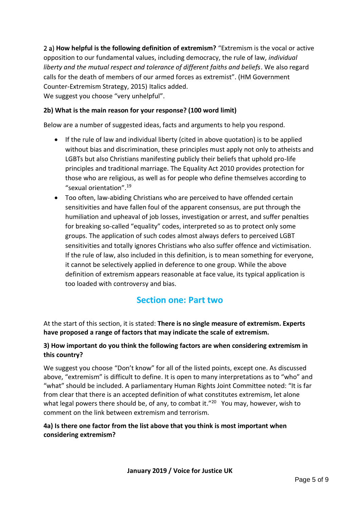2 a) **How helpful is the following definition of extremism?** "Extremism is the vocal or active opposition to our fundamental values, including democracy, the rule of law, *individual*  liberty and the mutual respect and tolerance of different faiths and beliefs. We also regard calls for the death of members of our armed forces as extremist". (HM Government Counter-Extremism Strategy, 2015) Italics added. We suggest you choose "very unhelpful".

#### **2b) What is the main reason for your response? (100 word limit)**

Below are a number of suggested ideas, facts and arguments to help you respond.

- If the rule of law and individual liberty (cited in above quotation) is to be applied without bias and discrimination, these principles must apply not only to atheists and LGBTs but also Christians manifesting publicly their beliefs that uphold pro-life principles and traditional marriage. The Equality Act 2010 provides protection for those who are religious, as well as for people who define themselves according to "sexual orientation".<sup>19</sup>
- Too often, law-abiding Christians who are perceived to have offended certain sensitivities and have fallen foul of the apparent consensus, are put through the humiliation and upheaval of job losses, investigation or arrest, and suffer penalties for breaking so-called "equality" codes, interpreted so as to protect only some groups. The application of such codes almost always defers to perceived LGBT sensitivities and totally ignores Christians who also suffer offence and victimisation. If the rule of law, also included in this definition, is to mean something for everyone, it cannot be selectively applied in deference to one group. While the above definition of extremism appears reasonable at face value, its typical application is too loaded with controversy and bias.

## **Section one: Part two**

At the start of this section, it is stated: **There is no single measure of extremism. Experts have proposed a range of factors that may indicate the scale of extremism.**

#### **3) How important do you think the following factors are when considering extremism in this country?**

We suggest you choose "Don't know" for all of the listed points, except one. As discussed above, "extremism" is difficult to define. It is open to many interpretations as to "who" and "what" should be included. A parliamentary Human Rights Joint Committee noted: "It is far from clear that there is an accepted definition of what constitutes extremism, let alone what legal powers there should be, of any, to combat it."<sup>20</sup> You may, however, wish to comment on the link between extremism and terrorism.

#### **4a) Is there one factor from the list above that you think is most important when considering extremism?**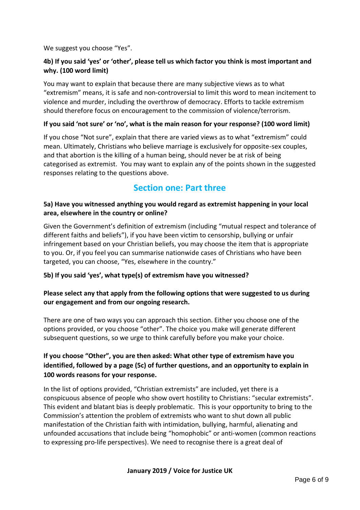We suggest you choose "Yes".

#### **4b) If you said 'yes' or 'other', please tell us which factor you think is most important and why. (100 word limit)**

You may want to explain that because there are many subjective views as to what "extremism" means, it is safe and non-controversial to limit this word to mean incitement to violence and murder, including the overthrow of democracy. Efforts to tackle extremism should therefore focus on encouragement to the commission of violence/terrorism.

#### **If you said 'not sure' or 'no', what is the main reason for your response? (100 word limit)**

If you chose "Not sure", explain that there are varied views as to what "extremism" could mean. Ultimately, Christians who believe marriage is exclusively for opposite-sex couples, and that abortion is the killing of a human being, should never be at risk of being categorised as extremist. You may want to explain any of the points shown in the suggested responses relating to the questions above.

## **Section one: Part three**

#### **5a) Have you witnessed anything you would regard as extremist happening in your local area, elsewhere in the country or online?**

Given the Government's definition of extremism (including "mutual respect and tolerance of different faiths and beliefs"), if you have been victim to censorship, bullying or unfair infringement based on your Christian beliefs, you may choose the item that is appropriate to you. Or, if you feel you can summarise nationwide cases of Christians who have been targeted, you can choose, "Yes, elsewhere in the country."

#### **5b) If you said 'yes', what type(s) of extremism have you witnessed?**

#### **Please select any that apply from the following options that were suggested to us during our engagement and from our ongoing research.**

There are one of two ways you can approach this section. Either you choose one of the options provided, or you choose "other". The choice you make will generate different subsequent questions, so we urge to think carefully before you make your choice.

#### **If you choose "Other", you are then asked: What other type of extremism have you identified, followed by a page (5c) of further questions, and an opportunity to explain in 100 words reasons for your response.**

In the list of options provided, "Christian extremists" are included, yet there is a conspicuous absence of people who show overt hostility to Christians: "secular extremists". This evident and blatant bias is deeply problematic. This is your opportunity to bring to the Commission's attention the problem of extremists who want to shut down all public manifestation of the Christian faith with intimidation, bullying, harmful, alienating and unfounded accusations that include being "homophobic" or anti-women (common reactions to expressing pro-life perspectives). We need to recognise there is a great deal of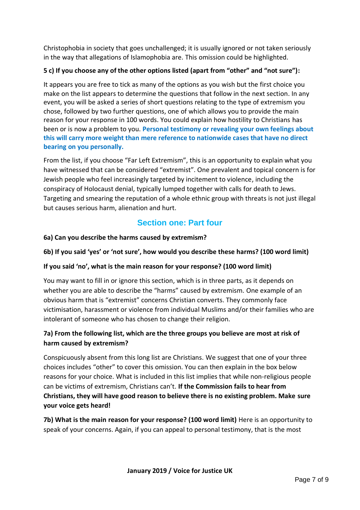Christophobia in society that goes unchallenged; it is usually ignored or not taken seriously in the way that allegations of Islamophobia are. This omission could be highlighted.

#### **5 c) If you choose any of the other options listed (apart from "other" and "not sure"):**

It appears you are free to tick as many of the options as you wish but the first choice you make on the list appears to determine the questions that follow in the next section. In any event, you will be asked a series of short questions relating to the type of extremism you chose, followed by two further questions, one of which allows you to provide the main reason for your response in 100 words. You could explain how hostility to Christians has been or is now a problem to you. **Personal testimony or revealing your own feelings about this will carry more weight than mere reference to nationwide cases that have no direct bearing on you personally.**

From the list, if you choose "Far Left Extremism", this is an opportunity to explain what you have witnessed that can be considered "extremist". One prevalent and topical concern is for Jewish people who feel increasingly targeted by incitement to violence, including the conspiracy of Holocaust denial, typically lumped together with calls for death to Jews. Targeting and smearing the reputation of a whole ethnic group with threats is not just illegal but causes serious harm, alienation and hurt.

## **Section one: Part four**

#### **6a) Can you describe the harms caused by extremism?**

#### **6b) If you said 'yes' or 'not sure', how would you describe these harms? (100 word limit)**

#### **If you said 'no', what is the main reason for your response? (100 word limit)**

You may want to fill in or ignore this section, which is in three parts, as it depends on whether you are able to describe the "harms" caused by extremism. One example of an obvious harm that is "extremist" concerns Christian converts. They commonly face victimisation, harassment or violence from individual Muslims and/or their families who are intolerant of someone who has chosen to change their religion.

#### **7a) From the following list, which are the three groups you believe are most at risk of harm caused by extremism?**

Conspicuously absent from this long list are Christians. We suggest that one of your three choices includes "other" to cover this omission. You can then explain in the box below reasons for your choice. What is included in this list implies that while non-religious people can be victims of extremism, Christians can't. **If the Commission fails to hear from Christians, they will have good reason to believe there is no existing problem. Make sure your voice gets heard!**

**7b) What is the main reason for your response? (100 word limit)** Here is an opportunity to speak of your concerns. Again, if you can appeal to personal testimony, that is the most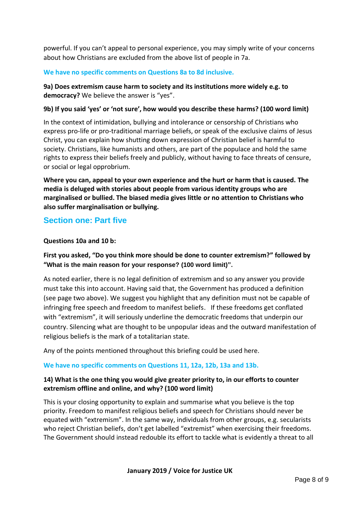powerful. If you can't appeal to personal experience, you may simply write of your concerns about how Christians are excluded from the above list of people in 7a.

#### **We have no specific comments on Questions 8a to 8d inclusive.**

**9a) Does extremism cause harm to society and its institutions more widely e.g. to democracy?** We believe the answer is "yes".

#### **9b) If you said 'yes' or 'not sure', how would you describe these harms? (100 word limit)**

In the context of intimidation, bullying and intolerance or censorship of Christians who express pro-life or pro-traditional marriage beliefs, or speak of the exclusive claims of Jesus Christ, you can explain how shutting down expression of Christian belief is harmful to society. Christians, like humanists and others, are part of the populace and hold the same rights to express their beliefs freely and publicly, without having to face threats of censure, or social or legal opprobrium.

**Where you can, appeal to your own experience and the hurt or harm that is caused. The media is deluged with stories about people from various identity groups who are marginalised or bullied. The biased media gives little or no attention to Christians who also suffer marginalisation or bullying.**

#### **Section one: Part five**

#### **Questions 10a and 10 b:**

#### **First you asked, "Do you think more should be done to counter extremism?" followed by "What is the main reason for your response? (100 word limit)".**

As noted earlier, there is no legal definition of extremism and so any answer you provide must take this into account. Having said that, the Government has produced a definition (see page two above). We suggest you highlight that any definition must not be capable of infringing free speech and freedom to manifest beliefs. If these freedoms get conflated with "extremism", it will seriously underline the democratic freedoms that underpin our country. Silencing what are thought to be unpopular ideas and the outward manifestation of religious beliefs is the mark of a totalitarian state.

Any of the points mentioned throughout this briefing could be used here.

#### **We have no specific comments on Questions 11, 12a, 12b, 13a and 13b.**

#### **14) What is the one thing you would give greater priority to, in our efforts to counter extremism offline and online, and why? (100 word limit)**

This is your closing opportunity to explain and summarise what you believe is the top priority. Freedom to manifest religious beliefs and speech for Christians should never be equated with "extremism". In the same way, individuals from other groups, e.g. secularists who reject Christian beliefs, don't get labelled "extremist" when exercising their freedoms. The Government should instead redouble its effort to tackle what is evidently a threat to all